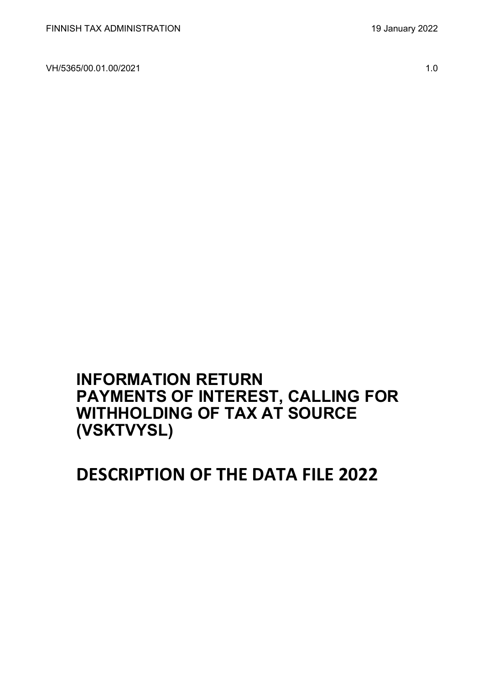VH/5365/00.01.00/2021 1.0

## **INFORMATION RETURN PAYMENTS OF INTEREST, CALLING FOR WITHHOLDING OF TAX AT SOURCE (VSKTVYSL)**

# **DESCRIPTION OF THE DATA FILE 2022**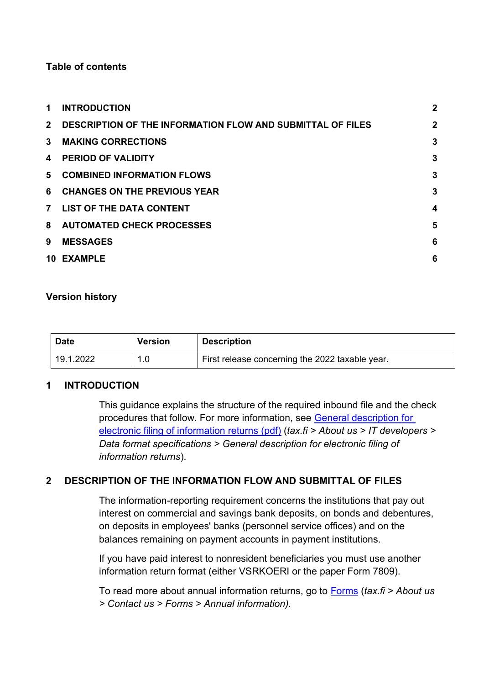#### **Table of contents**

| 1.             | <b>INTRODUCTION</b>                                               | $\overline{2}$          |
|----------------|-------------------------------------------------------------------|-------------------------|
| $2^{\circ}$    | <b>DESCRIPTION OF THE INFORMATION FLOW AND SUBMITTAL OF FILES</b> | $\overline{2}$          |
| 3              | <b>MAKING CORRECTIONS</b>                                         | $\mathbf{3}$            |
| 4              | <b>PERIOD OF VALIDITY</b>                                         | 3                       |
| 5.             | <b>COMBINED INFORMATION FLOWS</b>                                 | 3                       |
| 6              | <b>CHANGES ON THE PREVIOUS YEAR</b>                               | 3                       |
| $\overline{7}$ | <b>LIST OF THE DATA CONTENT</b>                                   | $\overline{\mathbf{4}}$ |
| 8              | <b>AUTOMATED CHECK PROCESSES</b>                                  | 5                       |
| 9              | <b>MESSAGES</b>                                                   | 6                       |
| 10.            | <b>EXAMPLE</b>                                                    | 6                       |

#### **Version history**

| <b>Date</b> | <b>Version</b> | <b>Description</b>                              |
|-------------|----------------|-------------------------------------------------|
| 19.1.2022   |                | First release concerning the 2022 taxable year. |

#### <span id="page-1-0"></span>**1 INTRODUCTION**

This guidance explains the structure of the required inbound file and the check procedures that follow. For more information, see [General description for](https://www.vero.fi/globalassets/tietoa-verohallinnosta/ohjelmistokehittajille/finnish-tax-administration_electronic-filing-of-information-returns-general-description.pdf)  [electronic filing of information returns \(pdf\)](https://www.vero.fi/globalassets/tietoa-verohallinnosta/ohjelmistokehittajille/finnish-tax-administration_electronic-filing-of-information-returns-general-description.pdf) (*tax.fi > About us > IT developers > Data format specifications > General description for electronic filing of information returns*).

#### <span id="page-1-1"></span>**2 DESCRIPTION OF THE INFORMATION FLOW AND SUBMITTAL OF FILES**

The information-reporting requirement concerns the institutions that pay out interest on commercial and savings bank deposits, on bonds and debentures, on deposits in employees' banks (personnel service offices) and on the balances remaining on payment accounts in payment institutions.

If you have paid interest to nonresident beneficiaries you must use another information return format (either VSRKOERI or the paper Form 7809).

To read more about annual information returns, go to [Forms](https://www.vero.fi/en/About-us/contact-us/forms/) (*tax.fi > About us > Contact us > Forms > Annual information).*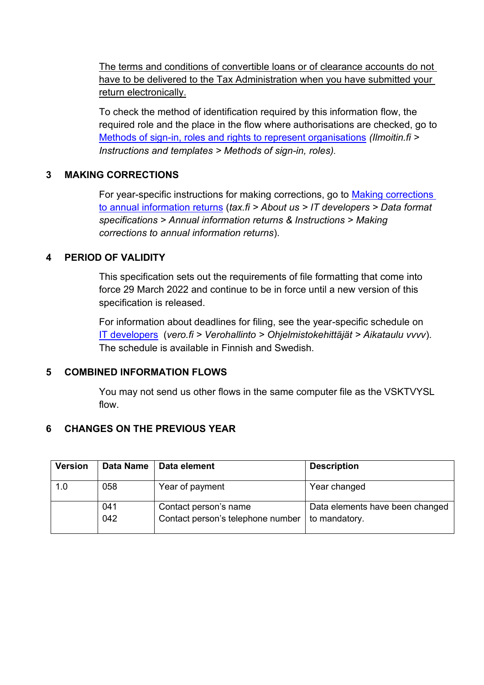The terms and conditions of convertible loans or of clearance accounts do not have to be delivered to the Tax Administration when you have submitted your return electronically.

To check the method of identification required by this information flow, the required role and the place in the flow where authorisations are checked, go to [Methods of sign-in, roles and rights to represent organisations](https://www.ilmoitin.fi/webtamo/sivut/IlmoituslajiRoolit?kieli=en&tv=VSKTVYSL) *[\(Ilmoitin.fi >](https://www.ilmoitin.fi/webtamo/sivut/IlmoituslajiRoolit?kieli=en)  [Instructions and templates > Methods of sign-in, roles\)](https://www.ilmoitin.fi/webtamo/sivut/IlmoituslajiRoolit?kieli=en).*

#### <span id="page-2-0"></span>**3 MAKING CORRECTIONS**

For year-specific instructions for making corrections, go to [Making corrections](https://www.vero.fi/en/About-us/it_developer/data-format-specifications/annual_information_returns__instruction/making-corrections-to-annual-information-returns/)  [to annual information returns](https://www.vero.fi/en/About-us/it_developer/data-format-specifications/annual_information_returns__instruction/making-corrections-to-annual-information-returns/) (*tax.fi > About us > IT developers > Data format specifications > Annual information returns & Instructions > Making corrections to annual information returns*).

#### <span id="page-2-1"></span>**4 PERIOD OF VALIDITY**

This specification sets out the requirements of file formatting that come into force 29 March 2022 and continue to be in force until a new version of this specification is released.

For information about deadlines for filing, see the year-specific schedule on [IT developers](https://www.vero.fi/tietoa-verohallinnosta/kehittaja/) (*vero.fi > Verohallinto > Ohjelmistokehittäjät > Aikataulu vvvv*). The schedule is available in Finnish and Swedish.

#### <span id="page-2-2"></span>**5 COMBINED INFORMATION FLOWS**

You may not send us other flows in the same computer file as the VSKTVYSL flow.

#### <span id="page-2-3"></span>**6 CHANGES ON THE PREVIOUS YEAR**

| <b>Version</b> | Data Name | Data element                      | <b>Description</b>              |
|----------------|-----------|-----------------------------------|---------------------------------|
| 1.0            | 058       | Year of payment                   | Year changed                    |
|                | 041       | Contact person's name             | Data elements have been changed |
|                | 042       | Contact person's telephone number | to mandatory.                   |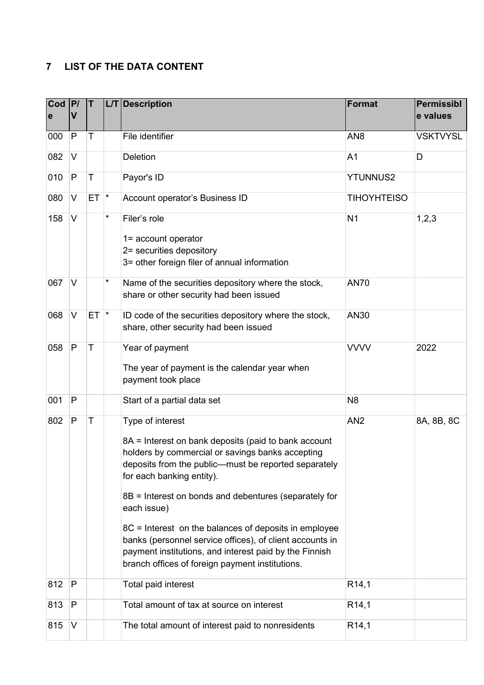## <span id="page-3-0"></span>**7 LIST OF THE DATA CONTENT**

| Cod<br>e | P <br>V      | T        |   | L/T Description                                                                                                                                                                                                                                                                                                                                                                                                                                                                                                             | <b>Format</b>      | <b>Permissibl</b><br>e values |
|----------|--------------|----------|---|-----------------------------------------------------------------------------------------------------------------------------------------------------------------------------------------------------------------------------------------------------------------------------------------------------------------------------------------------------------------------------------------------------------------------------------------------------------------------------------------------------------------------------|--------------------|-------------------------------|
| 000      | $\mathsf{P}$ | Τ        |   | File identifier                                                                                                                                                                                                                                                                                                                                                                                                                                                                                                             | AN <sub>8</sub>    | <b>VSKTVYSL</b>               |
| 082      | V            |          |   | <b>Deletion</b>                                                                                                                                                                                                                                                                                                                                                                                                                                                                                                             | A <sub>1</sub>     | D                             |
| 010      | $\mathsf{P}$ | Τ        |   | Payor's ID                                                                                                                                                                                                                                                                                                                                                                                                                                                                                                                  | <b>YTUNNUS2</b>    |                               |
| 080      | V            | $ET$ $*$ |   | Account operator's Business ID                                                                                                                                                                                                                                                                                                                                                                                                                                                                                              | <b>TIHOYHTEISO</b> |                               |
| 158      | $\vee$       |          | * | Filer's role<br>1= account operator<br>2= securities depository<br>3= other foreign filer of annual information                                                                                                                                                                                                                                                                                                                                                                                                             | N <sub>1</sub>     | 1,2,3                         |
| 067      | V            |          | * | Name of the securities depository where the stock,<br>share or other security had been issued                                                                                                                                                                                                                                                                                                                                                                                                                               | <b>AN70</b>        |                               |
| 068      | $\vee$       | $ET$ $*$ |   | ID code of the securities depository where the stock,<br>share, other security had been issued                                                                                                                                                                                                                                                                                                                                                                                                                              | AN30               |                               |
| 058      | $\mathsf{P}$ | T        |   | Year of payment<br>The year of payment is the calendar year when<br>payment took place                                                                                                                                                                                                                                                                                                                                                                                                                                      | <b>VVVV</b>        | 2022                          |
| 001      | P            |          |   | Start of a partial data set                                                                                                                                                                                                                                                                                                                                                                                                                                                                                                 | N <sub>8</sub>     |                               |
| 802      | $\mathsf{P}$ | Τ        |   | Type of interest<br>8A = Interest on bank deposits (paid to bank account<br>holders by commercial or savings banks accepting<br>deposits from the public-must be reported separately<br>for each banking entity).<br>8B = Interest on bonds and debentures (separately for<br>each issue)<br>8C = Interest on the balances of deposits in employee<br>banks (personnel service offices), of client accounts in<br>payment institutions, and interest paid by the Finnish<br>branch offices of foreign payment institutions. | AN <sub>2</sub>    | 8A, 8B, 8C                    |
| 812      | $\mathsf{P}$ |          |   | Total paid interest                                                                                                                                                                                                                                                                                                                                                                                                                                                                                                         | R <sub>14,1</sub>  |                               |
| 813      | P            |          |   | Total amount of tax at source on interest                                                                                                                                                                                                                                                                                                                                                                                                                                                                                   | R <sub>14,1</sub>  |                               |
| 815      | V            |          |   | The total amount of interest paid to nonresidents                                                                                                                                                                                                                                                                                                                                                                                                                                                                           | R <sub>14,1</sub>  |                               |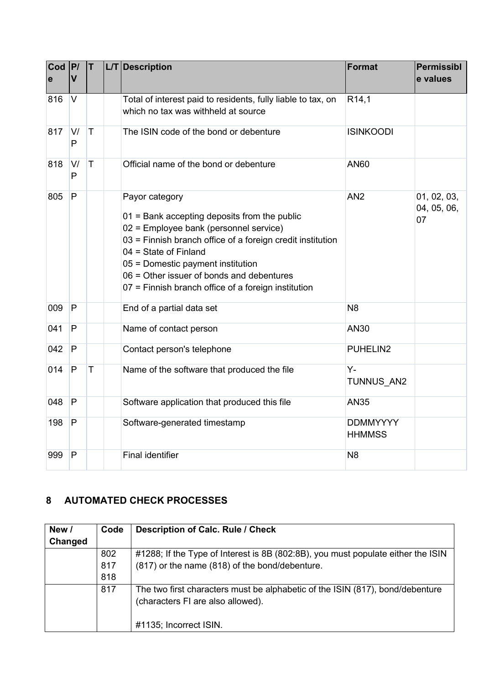| Cod<br>$\mathbf e$ | P/<br>$\overline{\mathsf{V}}$ | T           | L/T Description                                                                                                                                                                                                                                                                                                                              | <b>Format</b>                    | <b>Permissibl</b><br>e values    |
|--------------------|-------------------------------|-------------|----------------------------------------------------------------------------------------------------------------------------------------------------------------------------------------------------------------------------------------------------------------------------------------------------------------------------------------------|----------------------------------|----------------------------------|
|                    |                               |             |                                                                                                                                                                                                                                                                                                                                              |                                  |                                  |
| 816                | $\vee$                        |             | Total of interest paid to residents, fully liable to tax, on                                                                                                                                                                                                                                                                                 | R <sub>14,1</sub>                |                                  |
|                    |                               |             | which no tax was withheld at source                                                                                                                                                                                                                                                                                                          |                                  |                                  |
| 817                | V/<br>$\mathsf{P}$            | $\top$      | The ISIN code of the bond or debenture                                                                                                                                                                                                                                                                                                       | <b>ISINKOODI</b>                 |                                  |
| 818                | V/<br>P                       | $\mathsf T$ | Official name of the bond or debenture                                                                                                                                                                                                                                                                                                       | <b>AN60</b>                      |                                  |
| 805                | P                             |             | Payor category<br>$01$ = Bank accepting deposits from the public<br>02 = Employee bank (personnel service)<br>03 = Finnish branch office of a foreign credit institution<br>$04 =$ State of Finland<br>05 = Domestic payment institution<br>06 = Other issuer of bonds and debentures<br>07 = Finnish branch office of a foreign institution | AN <sub>2</sub>                  | 01, 02, 03,<br>04, 05, 06,<br>07 |
| 009                | $\mathsf{P}$                  |             | End of a partial data set                                                                                                                                                                                                                                                                                                                    | N <sub>8</sub>                   |                                  |
| 041                | P                             |             | Name of contact person                                                                                                                                                                                                                                                                                                                       | AN30                             |                                  |
| 042                | $\mathsf{P}$                  |             | Contact person's telephone                                                                                                                                                                                                                                                                                                                   | PUHELIN2                         |                                  |
| 014                | $\mathsf{P}$                  | T           | Name of the software that produced the file                                                                                                                                                                                                                                                                                                  | $Y -$<br>TUNNUS AN2              |                                  |
| 048                | P                             |             | Software application that produced this file                                                                                                                                                                                                                                                                                                 | <b>AN35</b>                      |                                  |
| 198                | ${\sf P}$                     |             | Software-generated timestamp                                                                                                                                                                                                                                                                                                                 | <b>DDMMYYYY</b><br><b>HHMMSS</b> |                                  |
| 999                | $\mathsf{P}$                  |             | <b>Final identifier</b>                                                                                                                                                                                                                                                                                                                      | N <sub>8</sub>                   |                                  |

### <span id="page-4-0"></span>**8 AUTOMATED CHECK PROCESSES**

| New /   | Code | <b>Description of Calc. Rule / Check</b>                                         |
|---------|------|----------------------------------------------------------------------------------|
| Changed |      |                                                                                  |
|         | 802  | #1288; If the Type of Interest is 8B (802:8B), you must populate either the ISIN |
|         | 817  | (817) or the name (818) of the bond/debenture.                                   |
|         | 818  |                                                                                  |
|         | 817  | The two first characters must be alphabetic of the ISIN (817), bond/debenture    |
|         |      | (characters FI are also allowed).                                                |
|         |      |                                                                                  |
|         |      | #1135; Incorrect ISIN.                                                           |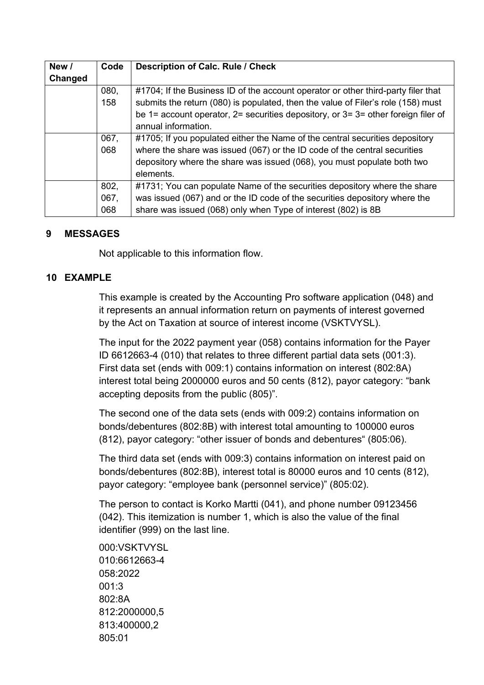| New /   | Code | <b>Description of Calc. Rule / Check</b>                                             |
|---------|------|--------------------------------------------------------------------------------------|
| Changed |      |                                                                                      |
|         | 080, | #1704; If the Business ID of the account operator or other third-party filer that    |
|         | 158  | submits the return (080) is populated, then the value of Filer's role (158) must     |
|         |      | be 1= account operator, $2=$ securities depository, or $3=3=$ other foreign filer of |
|         |      | annual information.                                                                  |
|         | 067, | #1705; If you populated either the Name of the central securities depository         |
|         | 068  | where the share was issued (067) or the ID code of the central securities            |
|         |      | depository where the share was issued (068), you must populate both two              |
|         |      | elements.                                                                            |
|         | 802, | #1731; You can populate Name of the securities depository where the share            |
|         | 067, | was issued (067) and or the ID code of the securities depository where the           |
|         | 068  | share was issued (068) only when Type of interest (802) is 8B                        |

#### <span id="page-5-0"></span>**9 MESSAGES**

Not applicable to this information flow.

#### <span id="page-5-1"></span>**10 EXAMPLE**

This example is created by the Accounting Pro software application (048) and it represents an annual information return on payments of interest governed by the Act on Taxation at source of interest income (VSKTVYSL).

The input for the 2022 payment year (058) contains information for the Payer ID 6612663-4 (010) that relates to three different partial data sets (001:3). First data set (ends with 009:1) contains information on interest (802:8A) interest total being 2000000 euros and 50 cents (812), payor category: "bank accepting deposits from the public (805)".

The second one of the data sets (ends with 009:2) contains information on bonds/debentures (802:8B) with interest total amounting to 100000 euros (812), payor category: "other issuer of bonds and debentures" (805:06).

The third data set (ends with 009:3) contains information on interest paid on bonds/debentures (802:8B), interest total is 80000 euros and 10 cents (812), payor category: "employee bank (personnel service)" (805:02).

The person to contact is Korko Martti (041), and phone number 09123456 (042). This itemization is number 1, which is also the value of the final identifier (999) on the last line.

000:VSKTVYSL 010:6612663-4 058:2022 001:3 802:8A 812:2000000,5 813:400000,2 805:01